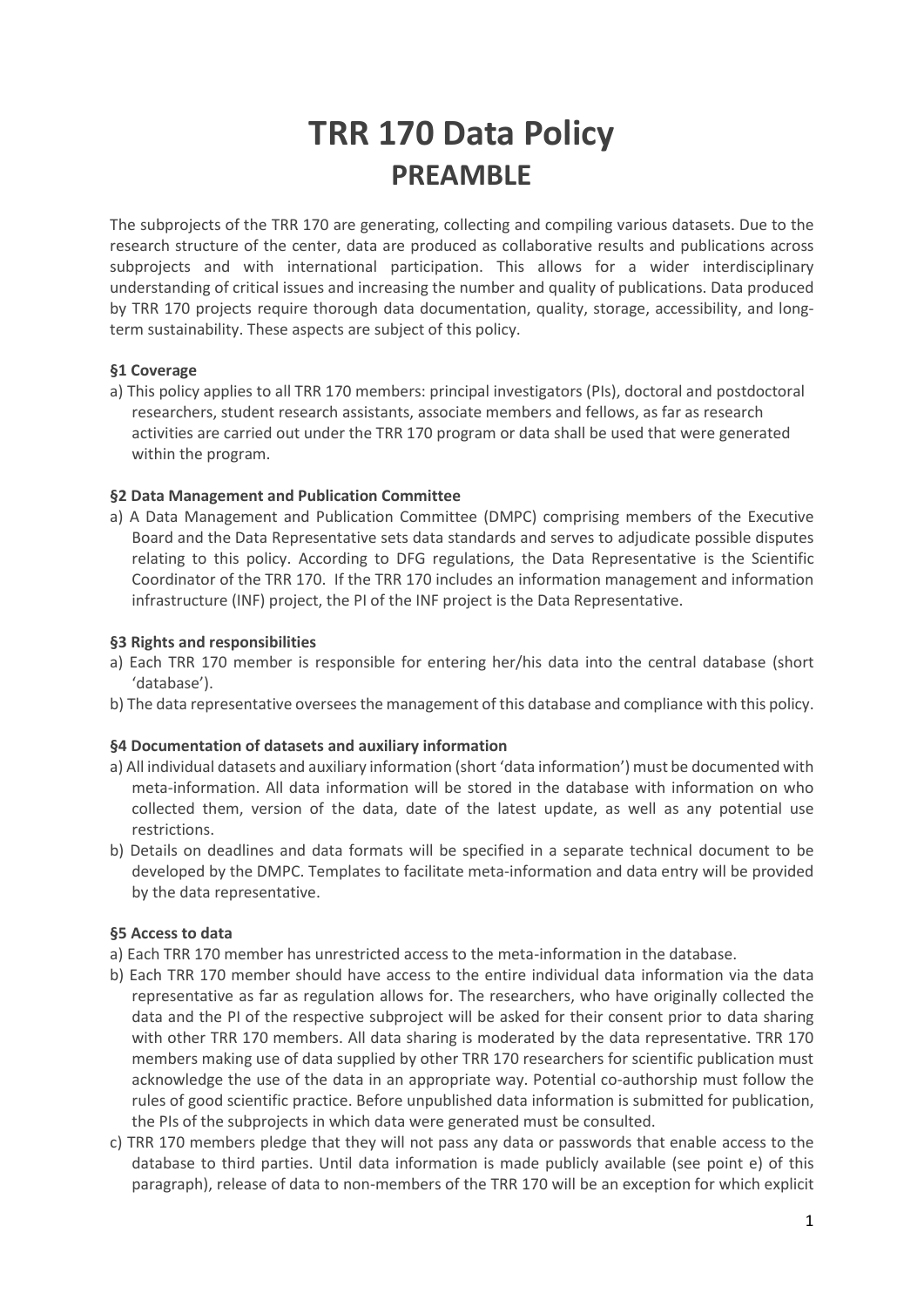# **TRR 170 Data Policy PREAMBLE**

The subprojects of the TRR 170 are generating, collecting and compiling various datasets. Due to the research structure of the center, data are produced as collaborative results and publications across subprojects and with international participation. This allows for a wider interdisciplinary understanding of critical issues and increasing the number and quality of publications. Data produced by TRR 170 projects require thorough data documentation, quality, storage, accessibility, and longterm sustainability. These aspects are subject of this policy.

## **§1 Coverage**

a) This policy applies to all TRR 170 members: principal investigators (PIs), doctoral and postdoctoral researchers, student research assistants, associate members and fellows, as far as research activities are carried out under the TRR 170 program or data shall be used that were generated within the program.

## **§2 Data Management and Publication Committee**

a) A Data Management and Publication Committee (DMPC) comprising members of the Executive Board and the Data Representative sets data standards and serves to adjudicate possible disputes relating to this policy. According to DFG regulations, the Data Representative is the Scientific Coordinator of the TRR 170. If the TRR 170 includes an information management and information infrastructure (INF) project, the PI of the INF project is the Data Representative.

## **§3 Rights and responsibilities**

- a) Each TRR 170 member is responsible for entering her/his data into the central database (short 'database').
- b) The data representative oversees the management of this database and compliance with this policy.

#### **§4 Documentation of datasets and auxiliary information**

- a) All individual datasets and auxiliary information (short 'data information') must be documented with meta-information. All data information will be stored in the database with information on who collected them, version of the data, date of the latest update, as well as any potential use restrictions.
- b) Details on deadlines and data formats will be specified in a separate technical document to be developed by the DMPC. Templates to facilitate meta-information and data entry will be provided by the data representative.

#### **§5 Access to data**

- a) Each TRR 170 member has unrestricted access to the meta-information in the database.
- b) Each TRR 170 member should have access to the entire individual data information via the data representative as far as regulation allows for. The researchers, who have originally collected the data and the PI of the respective subproject will be asked for their consent prior to data sharing with other TRR 170 members. All data sharing is moderated by the data representative. TRR 170 members making use of data supplied by other TRR 170 researchers for scientific publication must acknowledge the use of the data in an appropriate way. Potential co-authorship must follow the rules of good scientific practice. Before unpublished data information is submitted for publication, the PIs of the subprojects in which data were generated must be consulted.
- c) TRR 170 members pledge that they will not pass any data or passwords that enable access to the database to third parties. Until data information is made publicly available (see point e) of this paragraph), release of data to non-members of the TRR 170 will be an exception for which explicit